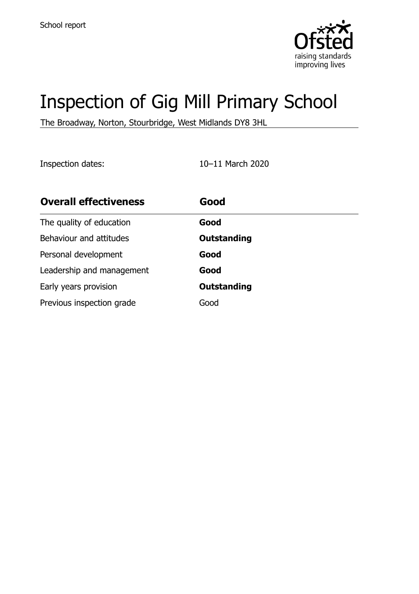

# Inspection of Gig Mill Primary School

The Broadway, Norton, Stourbridge, West Midlands DY8 3HL

Inspection dates: 10–11 March 2020

| <b>Overall effectiveness</b> | Good               |
|------------------------------|--------------------|
| The quality of education     | Good               |
| Behaviour and attitudes      | <b>Outstanding</b> |
| Personal development         | Good               |
| Leadership and management    | Good               |
| Early years provision        | <b>Outstanding</b> |
| Previous inspection grade    | Good               |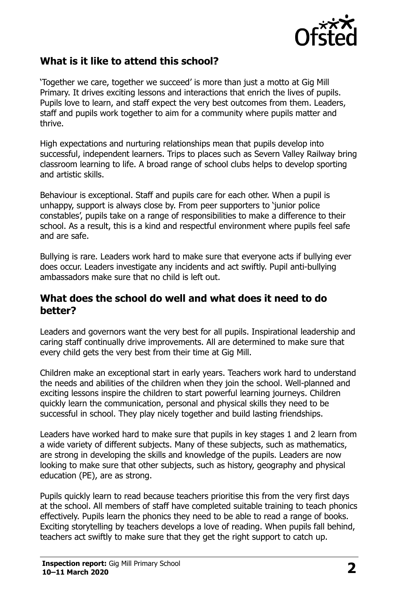

# **What is it like to attend this school?**

'Together we care, together we succeed' is more than just a motto at Gig Mill Primary. It drives exciting lessons and interactions that enrich the lives of pupils. Pupils love to learn, and staff expect the very best outcomes from them. Leaders, staff and pupils work together to aim for a community where pupils matter and thrive.

High expectations and nurturing relationships mean that pupils develop into successful, independent learners. Trips to places such as Severn Valley Railway bring classroom learning to life. A broad range of school clubs helps to develop sporting and artistic skills.

Behaviour is exceptional. Staff and pupils care for each other. When a pupil is unhappy, support is always close by. From peer supporters to 'junior police constables', pupils take on a range of responsibilities to make a difference to their school. As a result, this is a kind and respectful environment where pupils feel safe and are safe.

Bullying is rare. Leaders work hard to make sure that everyone acts if bullying ever does occur. Leaders investigate any incidents and act swiftly. Pupil anti-bullying ambassadors make sure that no child is left out.

#### **What does the school do well and what does it need to do better?**

Leaders and governors want the very best for all pupils. Inspirational leadership and caring staff continually drive improvements. All are determined to make sure that every child gets the very best from their time at Gig Mill.

Children make an exceptional start in early years. Teachers work hard to understand the needs and abilities of the children when they join the school. Well-planned and exciting lessons inspire the children to start powerful learning journeys. Children quickly learn the communication, personal and physical skills they need to be successful in school. They play nicely together and build lasting friendships.

Leaders have worked hard to make sure that pupils in key stages 1 and 2 learn from a wide variety of different subjects. Many of these subjects, such as mathematics, are strong in developing the skills and knowledge of the pupils. Leaders are now looking to make sure that other subjects, such as history, geography and physical education (PE), are as strong.

Pupils quickly learn to read because teachers prioritise this from the very first days at the school. All members of staff have completed suitable training to teach phonics effectively. Pupils learn the phonics they need to be able to read a range of books. Exciting storytelling by teachers develops a love of reading. When pupils fall behind, teachers act swiftly to make sure that they get the right support to catch up.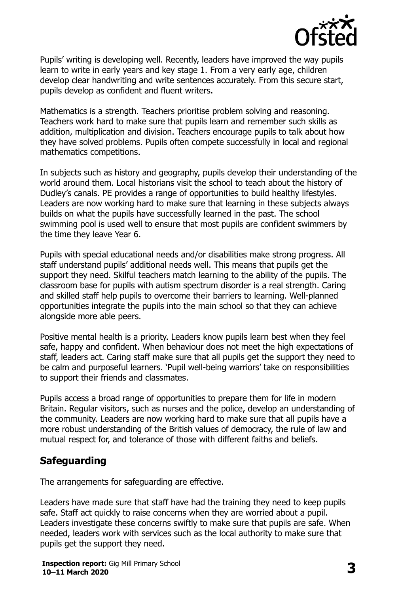

Pupils' writing is developing well. Recently, leaders have improved the way pupils learn to write in early years and key stage 1. From a very early age, children develop clear handwriting and write sentences accurately. From this secure start, pupils develop as confident and fluent writers.

Mathematics is a strength. Teachers prioritise problem solving and reasoning. Teachers work hard to make sure that pupils learn and remember such skills as addition, multiplication and division. Teachers encourage pupils to talk about how they have solved problems. Pupils often compete successfully in local and regional mathematics competitions.

In subjects such as history and geography, pupils develop their understanding of the world around them. Local historians visit the school to teach about the history of Dudley's canals. PE provides a range of opportunities to build healthy lifestyles. Leaders are now working hard to make sure that learning in these subjects always builds on what the pupils have successfully learned in the past. The school swimming pool is used well to ensure that most pupils are confident swimmers by the time they leave Year 6.

Pupils with special educational needs and/or disabilities make strong progress. All staff understand pupils' additional needs well. This means that pupils get the support they need. Skilful teachers match learning to the ability of the pupils. The classroom base for pupils with autism spectrum disorder is a real strength. Caring and skilled staff help pupils to overcome their barriers to learning. Well-planned opportunities integrate the pupils into the main school so that they can achieve alongside more able peers.

Positive mental health is a priority. Leaders know pupils learn best when they feel safe, happy and confident. When behaviour does not meet the high expectations of staff, leaders act. Caring staff make sure that all pupils get the support they need to be calm and purposeful learners. 'Pupil well-being warriors' take on responsibilities to support their friends and classmates.

Pupils access a broad range of opportunities to prepare them for life in modern Britain. Regular visitors, such as nurses and the police, develop an understanding of the community. Leaders are now working hard to make sure that all pupils have a more robust understanding of the British values of democracy, the rule of law and mutual respect for, and tolerance of those with different faiths and beliefs.

# **Safeguarding**

The arrangements for safeguarding are effective.

Leaders have made sure that staff have had the training they need to keep pupils safe. Staff act quickly to raise concerns when they are worried about a pupil. Leaders investigate these concerns swiftly to make sure that pupils are safe. When needed, leaders work with services such as the local authority to make sure that pupils get the support they need.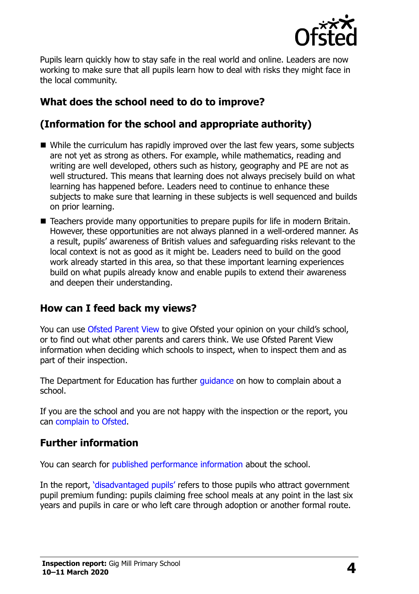

Pupils learn quickly how to stay safe in the real world and online. Leaders are now working to make sure that all pupils learn how to deal with risks they might face in the local community.

# **What does the school need to do to improve?**

# **(Information for the school and appropriate authority)**

- While the curriculum has rapidly improved over the last few vears, some subjects are not yet as strong as others. For example, while mathematics, reading and writing are well developed, others such as history, geography and PE are not as well structured. This means that learning does not always precisely build on what learning has happened before. Leaders need to continue to enhance these subjects to make sure that learning in these subjects is well sequenced and builds on prior learning.
- Teachers provide many opportunities to prepare pupils for life in modern Britain. However, these opportunities are not always planned in a well-ordered manner. As a result, pupils' awareness of British values and safeguarding risks relevant to the local context is not as good as it might be. Leaders need to build on the good work already started in this area, so that these important learning experiences build on what pupils already know and enable pupils to extend their awareness and deepen their understanding.

### **How can I feed back my views?**

You can use [Ofsted Parent View](http://parentview.ofsted.gov.uk/) to give Ofsted your opinion on your child's school, or to find out what other parents and carers think. We use Ofsted Parent View information when deciding which schools to inspect, when to inspect them and as part of their inspection.

The Department for Education has further quidance on how to complain about a school.

If you are the school and you are not happy with the inspection or the report, you can [complain to Ofsted.](http://www.gov.uk/complain-ofsted-report)

### **Further information**

You can search for [published performance information](http://www.compare-school-performance.service.gov.uk/) about the school.

In the report, '[disadvantaged pupils](http://www.gov.uk/guidance/pupil-premium-information-for-schools-and-alternative-provision-settings)' refers to those pupils who attract government pupil premium funding: pupils claiming free school meals at any point in the last six years and pupils in care or who left care through adoption or another formal route.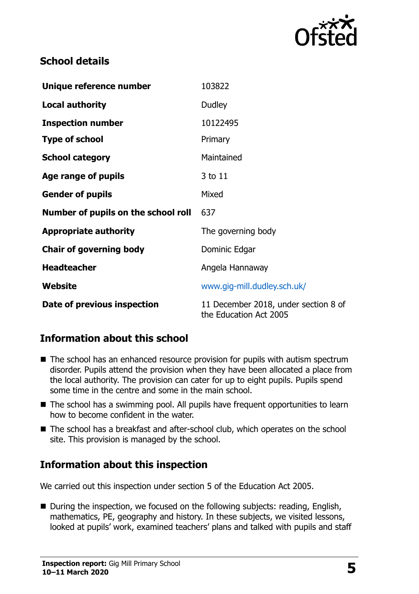

# **School details**

| Unique reference number             | 103822                                                         |  |
|-------------------------------------|----------------------------------------------------------------|--|
| <b>Local authority</b>              | Dudley                                                         |  |
| <b>Inspection number</b>            | 10122495                                                       |  |
| <b>Type of school</b>               | Primary                                                        |  |
| <b>School category</b>              | Maintained                                                     |  |
| Age range of pupils                 | 3 to 11                                                        |  |
| <b>Gender of pupils</b>             | Mixed                                                          |  |
| Number of pupils on the school roll | 637                                                            |  |
| <b>Appropriate authority</b>        | The governing body                                             |  |
| <b>Chair of governing body</b>      | Dominic Edgar                                                  |  |
| <b>Headteacher</b>                  | Angela Hannaway                                                |  |
| Website                             | www.gig-mill.dudley.sch.uk/                                    |  |
| Date of previous inspection         | 11 December 2018, under section 8 of<br>the Education Act 2005 |  |

# **Information about this school**

- The school has an enhanced resource provision for pupils with autism spectrum disorder. Pupils attend the provision when they have been allocated a place from the local authority. The provision can cater for up to eight pupils. Pupils spend some time in the centre and some in the main school.
- The school has a swimming pool. All pupils have frequent opportunities to learn how to become confident in the water.
- The school has a breakfast and after-school club, which operates on the school site. This provision is managed by the school.

# **Information about this inspection**

We carried out this inspection under section 5 of the Education Act 2005.

■ During the inspection, we focused on the following subjects: reading, English, mathematics, PE, geography and history. In these subjects, we visited lessons, looked at pupils' work, examined teachers' plans and talked with pupils and staff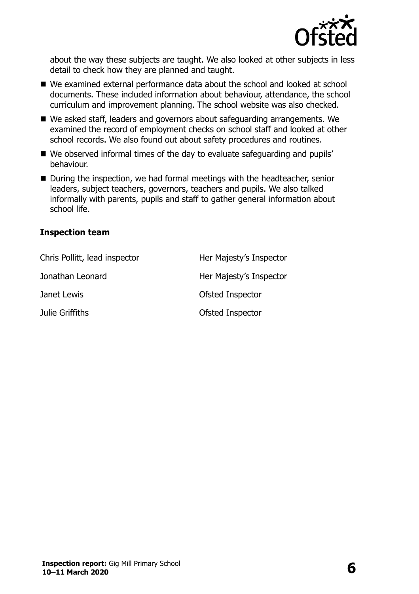

about the way these subjects are taught. We also looked at other subjects in less detail to check how they are planned and taught.

- We examined external performance data about the school and looked at school documents. These included information about behaviour, attendance, the school curriculum and improvement planning. The school website was also checked.
- We asked staff, leaders and governors about safeguarding arrangements. We examined the record of employment checks on school staff and looked at other school records. We also found out about safety procedures and routines.
- We observed informal times of the day to evaluate safeguarding and pupils' behaviour.
- During the inspection, we had formal meetings with the headteacher, senior leaders, subject teachers, governors, teachers and pupils. We also talked informally with parents, pupils and staff to gather general information about school life.

#### **Inspection team**

| Chris Pollitt, lead inspector | Her Majesty's Inspector |
|-------------------------------|-------------------------|
| Jonathan Leonard              | Her Majesty's Inspector |
| Janet Lewis                   | Ofsted Inspector        |
| Julie Griffiths               | Ofsted Inspector        |